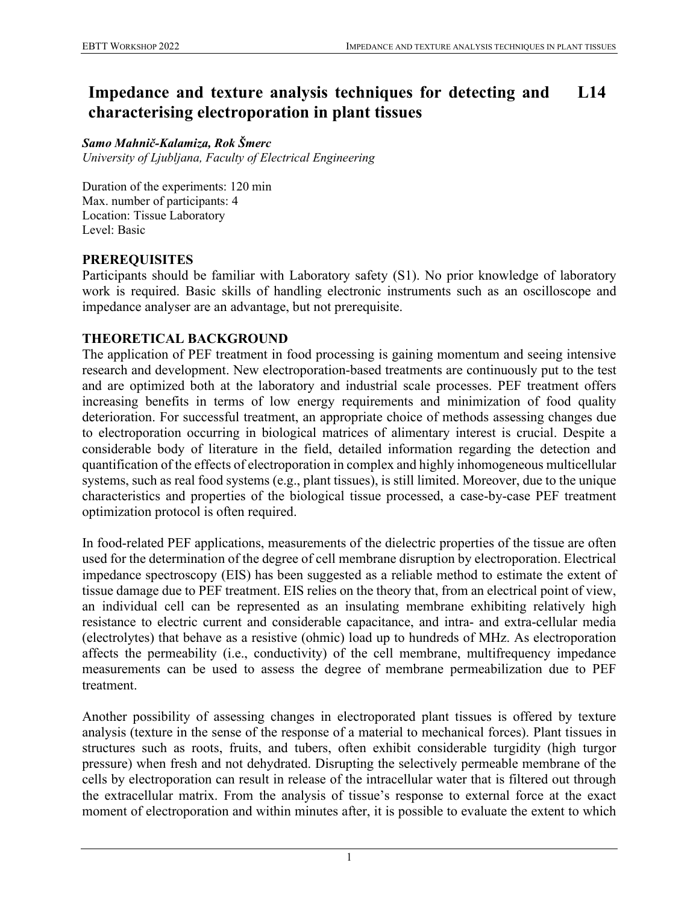#### **Impedance and texture analysis techniques for detecting and characterising electroporation in plant tissues L14**

#### *Samo Mahnič-Kalamiza, Rok Šmerc*

*University of Ljubljana, Faculty of Electrical Engineering*

Duration of the experiments: 120 min Max. number of participants: 4 Location: Tissue Laboratory Level: Basic

## **PREREQUISITES**

Participants should be familiar with Laboratory safety (S1). No prior knowledge of laboratory work is required. Basic skills of handling electronic instruments such as an oscilloscope and impedance analyser are an advantage, but not prerequisite.

### **THEORETICAL BACKGROUND**

The application of PEF treatment in food processing is gaining momentum and seeing intensive research and development. New electroporation-based treatments are continuously put to the test and are optimized both at the laboratory and industrial scale processes. PEF treatment offers increasing benefits in terms of low energy requirements and minimization of food quality deterioration. For successful treatment, an appropriate choice of methods assessing changes due to electroporation occurring in biological matrices of alimentary interest is crucial. Despite a considerable body of literature in the field, detailed information regarding the detection and quantification of the effects of electroporation in complex and highly inhomogeneous multicellular systems, such as real food systems (e.g., plant tissues), is still limited. Moreover, due to the unique characteristics and properties of the biological tissue processed, a case-by-case PEF treatment optimization protocol is often required.

In food-related PEF applications, measurements of the dielectric properties of the tissue are often used for the determination of the degree of cell membrane disruption by electroporation. Electrical impedance spectroscopy (EIS) has been suggested as a reliable method to estimate the extent of tissue damage due to PEF treatment. EIS relies on the theory that, from an electrical point of view, an individual cell can be represented as an insulating membrane exhibiting relatively high resistance to electric current and considerable capacitance, and intra- and extra-cellular media (electrolytes) that behave as a resistive (ohmic) load up to hundreds of MHz. As electroporation affects the permeability (i.e., conductivity) of the cell membrane, multifrequency impedance measurements can be used to assess the degree of membrane permeabilization due to PEF treatment.

Another possibility of assessing changes in electroporated plant tissues is offered by texture analysis (texture in the sense of the response of a material to mechanical forces). Plant tissues in structures such as roots, fruits, and tubers, often exhibit considerable turgidity (high turgor pressure) when fresh and not dehydrated. Disrupting the selectively permeable membrane of the cells by electroporation can result in release of the intracellular water that is filtered out through the extracellular matrix. From the analysis of tissue's response to external force at the exact moment of electroporation and within minutes after, it is possible to evaluate the extent to which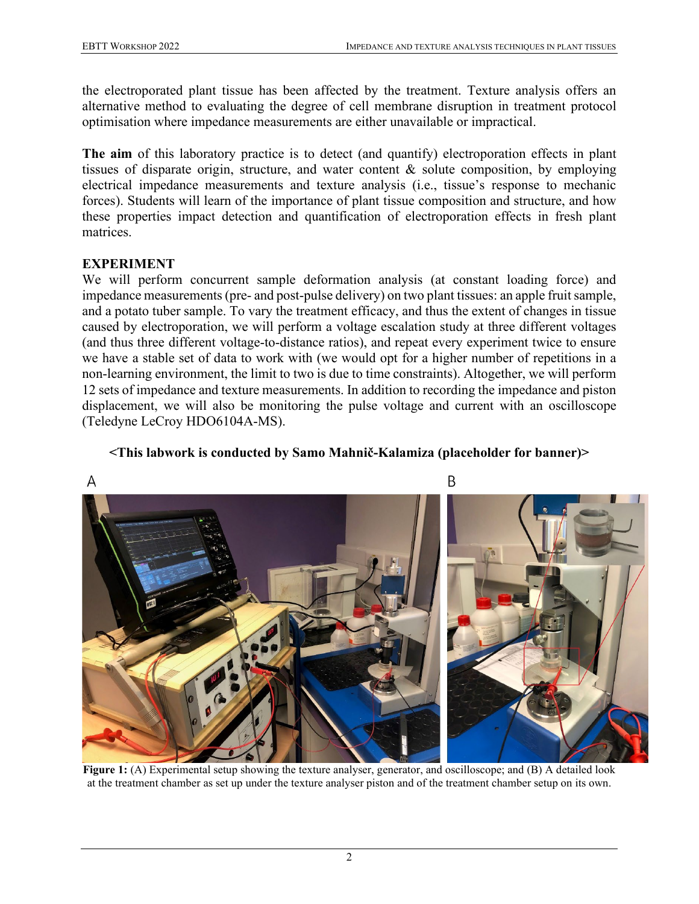the electroporated plant tissue has been affected by the treatment. Texture analysis offers an alternative method to evaluating the degree of cell membrane disruption in treatment protocol optimisation where impedance measurements are either unavailable or impractical.

**The aim** of this laboratory practice is to detect (and quantify) electroporation effects in plant tissues of disparate origin, structure, and water content & solute composition, by employing electrical impedance measurements and texture analysis (i.e., tissue's response to mechanic forces). Students will learn of the importance of plant tissue composition and structure, and how these properties impact detection and quantification of electroporation effects in fresh plant matrices.

# **EXPERIMENT**

We will perform concurrent sample deformation analysis (at constant loading force) and impedance measurements (pre- and post-pulse delivery) on two plant tissues: an apple fruit sample, and a potato tuber sample. To vary the treatment efficacy, and thus the extent of changes in tissue caused by electroporation, we will perform a voltage escalation study at three different voltages (and thus three different voltage-to-distance ratios), and repeat every experiment twice to ensure we have a stable set of data to work with (we would opt for a higher number of repetitions in a non-learning environment, the limit to two is due to time constraints). Altogether, we will perform 12 sets of impedance and texture measurements. In addition to recording the impedance and piston displacement, we will also be monitoring the pulse voltage and current with an oscilloscope (Teledyne LeCroy HDO6104A-MS).

# **<This labwork is conducted by Samo Mahnič-Kalamiza (placeholder for banner)>**



**Figure 1:** (A) Experimental setup showing the texture analyser, generator, and oscilloscope; and (B) A detailed look at the treatment chamber as set up under the texture analyser piston and of the treatment chamber setup on its own.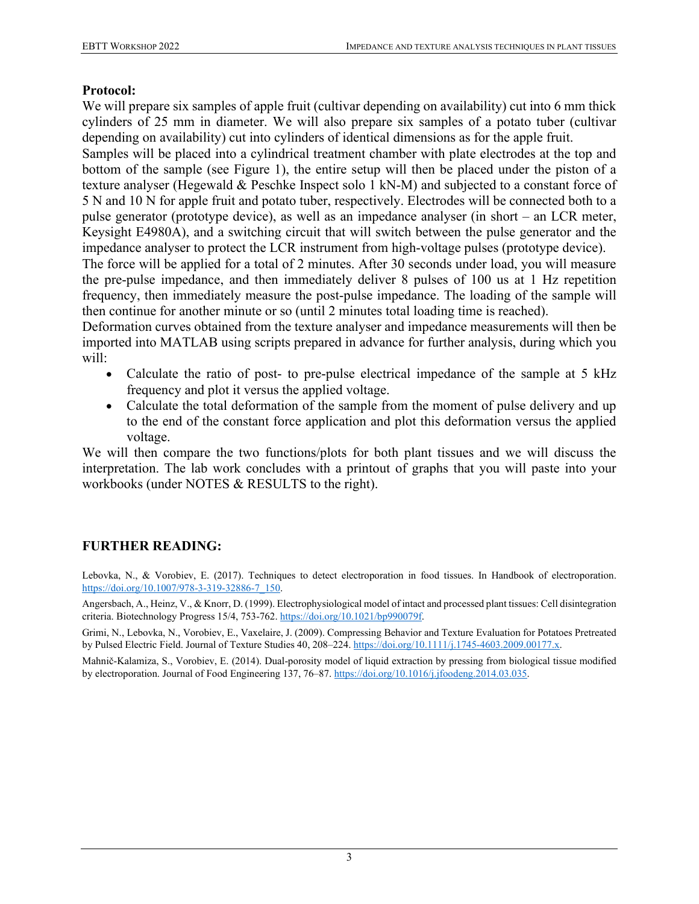### **Protocol:**

We will prepare six samples of apple fruit (cultivar depending on availability) cut into 6 mm thick cylinders of 25 mm in diameter. We will also prepare six samples of a potato tuber (cultivar depending on availability) cut into cylinders of identical dimensions as for the apple fruit.

Samples will be placed into a cylindrical treatment chamber with plate electrodes at the top and bottom of the sample (see Figure 1), the entire setup will then be placed under the piston of a texture analyser (Hegewald & Peschke Inspect solo 1 kN-M) and subjected to a constant force of 5 N and 10 N for apple fruit and potato tuber, respectively. Electrodes will be connected both to a pulse generator (prototype device), as well as an impedance analyser (in short – an LCR meter, Keysight E4980A), and a switching circuit that will switch between the pulse generator and the impedance analyser to protect the LCR instrument from high-voltage pulses (prototype device).

The force will be applied for a total of 2 minutes. After 30 seconds under load, you will measure the pre-pulse impedance, and then immediately deliver 8 pulses of 100 us at 1 Hz repetition frequency, then immediately measure the post-pulse impedance. The loading of the sample will then continue for another minute or so (until 2 minutes total loading time is reached).

Deformation curves obtained from the texture analyser and impedance measurements will then be imported into MATLAB using scripts prepared in advance for further analysis, during which you will:

- Calculate the ratio of post- to pre-pulse electrical impedance of the sample at 5 kHz frequency and plot it versus the applied voltage.
- Calculate the total deformation of the sample from the moment of pulse delivery and up to the end of the constant force application and plot this deformation versus the applied voltage.

We will then compare the two functions/plots for both plant tissues and we will discuss the interpretation. The lab work concludes with a printout of graphs that you will paste into your workbooks (under NOTES & RESULTS to the right).

# **FURTHER READING:**

Lebovka, N., & Vorobiev, E. (2017). Techniques to detect electroporation in food tissues. In Handbook of electroporation. [https://doi.org/10.1007/978-3-319-32886-7\\_150.](https://doi.org/10.1007/978-3-319-32886-7_150)

Angersbach, A., Heinz, V., & Knorr, D. (1999). Electrophysiological model of intact and processed plant tissues: Cell disintegration criteria. Biotechnology Progress 15/4, 753-762[. https://doi.org/10.1021/bp990079f.](https://doi.org/10.1021/bp990079f)

Grimi, N., Lebovka, N., Vorobiev, E., Vaxelaire, J. (2009). Compressing Behavior and Texture Evaluation for Potatoes Pretreated by Pulsed Electric Field. Journal of Texture Studies 40, 208–224[. https://doi.org/10.1111/j.1745-4603.2009.00177.x.](https://doi.org/10.1111/j.1745-4603.2009.00177.x)

Mahnič-Kalamiza, S., Vorobiev, E. (2014). Dual-porosity model of liquid extraction by pressing from biological tissue modified by electroporation. Journal of Food Engineering 137, 76–87[. https://doi.org/10.1016/j.jfoodeng.2014.03.035.](https://doi.org/10.1016/j.jfoodeng.2014.03.035)